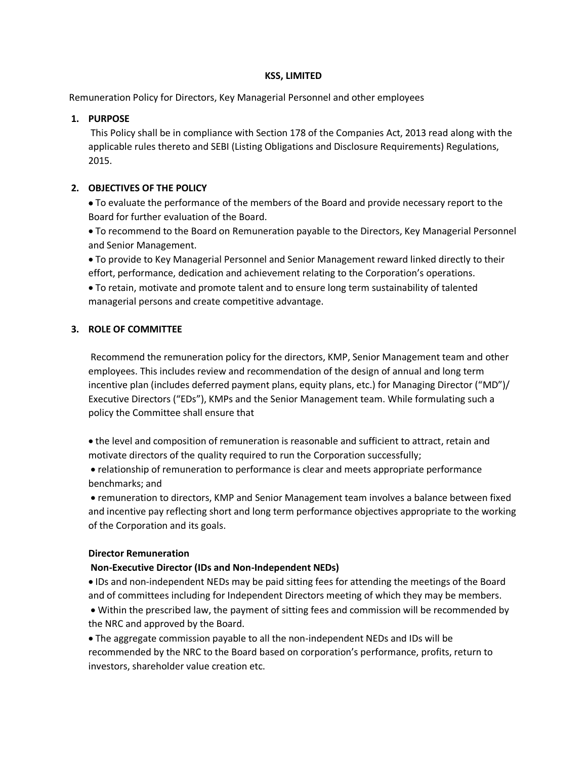#### **KSS, LIMITED**

Remuneration Policy for Directors, Key Managerial Personnel and other employees

### **1. PURPOSE**

This Policy shall be in compliance with Section 178 of the Companies Act, 2013 read along with the applicable rules thereto and SEBI (Listing Obligations and Disclosure Requirements) Regulations, 2015.

## **2. OBJECTIVES OF THE POLICY**

 To evaluate the performance of the members of the Board and provide necessary report to the Board for further evaluation of the Board.

 To recommend to the Board on Remuneration payable to the Directors, Key Managerial Personnel and Senior Management.

 To provide to Key Managerial Personnel and Senior Management reward linked directly to their effort, performance, dedication and achievement relating to the Corporation's operations.

 To retain, motivate and promote talent and to ensure long term sustainability of talented managerial persons and create competitive advantage.

## **3. ROLE OF COMMITTEE**

Recommend the remuneration policy for the directors, KMP, Senior Management team and other employees. This includes review and recommendation of the design of annual and long term incentive plan (includes deferred payment plans, equity plans, etc.) for Managing Director ("MD")/ Executive Directors ("EDs"), KMPs and the Senior Management team. While formulating such a policy the Committee shall ensure that

 the level and composition of remuneration is reasonable and sufficient to attract, retain and motivate directors of the quality required to run the Corporation successfully;

 relationship of remuneration to performance is clear and meets appropriate performance benchmarks; and

 remuneration to directors, KMP and Senior Management team involves a balance between fixed and incentive pay reflecting short and long term performance objectives appropriate to the working of the Corporation and its goals.

#### **Director Remuneration**

# **Non-Executive Director (IDs and Non-Independent NEDs)**

 IDs and non-independent NEDs may be paid sitting fees for attending the meetings of the Board and of committees including for Independent Directors meeting of which they may be members.

 Within the prescribed law, the payment of sitting fees and commission will be recommended by the NRC and approved by the Board.

 The aggregate commission payable to all the non-independent NEDs and IDs will be recommended by the NRC to the Board based on corporation's performance, profits, return to investors, shareholder value creation etc.